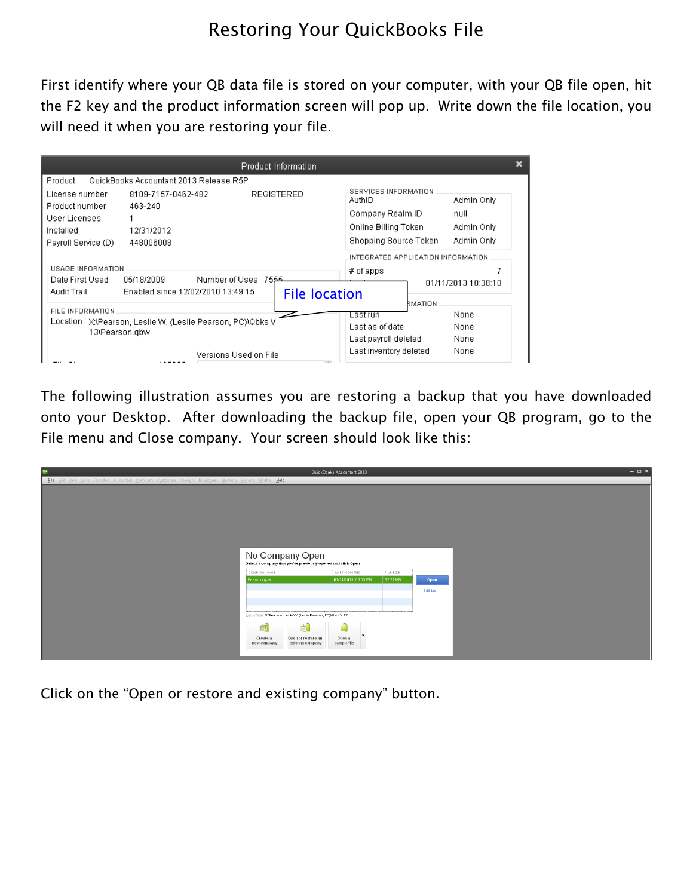## Restoring Your QuickBooks File

First identify where your QB data file is stored on your computer, with your QB file open, hit the F2 key and the product information screen will pop up. Write down the file location, you will need it when you are restoring your file.

|                                                                                                   |                                                          | Product Information   |                                                                                                     |                                                |  |
|---------------------------------------------------------------------------------------------------|----------------------------------------------------------|-----------------------|-----------------------------------------------------------------------------------------------------|------------------------------------------------|--|
| Product                                                                                           | QuickBooks Accountant 2013 Release R5P                   |                       |                                                                                                     |                                                |  |
| License number<br>Product number<br>User Licenses<br>Installed<br>Payroll Service (D)             | 8109-7157-0462-482<br>463-240<br>12/31/2012<br>448006008 | <b>REGISTERED</b>     | SERVICES INFORMATION<br>AuthID<br>Company Realm ID<br>Online Billing Token<br>Shopping Source Token | Admin Only<br>null<br>Admin Only<br>Admin Only |  |
|                                                                                                   |                                                          |                       | INTEGRATED APPLICATION INFORMATION.                                                                 |                                                |  |
| USAGE INFORMATION<br>Date First Used                                                              | 05/18/2009                                               | Number of Uses 7555   | $#$ of apps                                                                                         |                                                |  |
| Audit Trail                                                                                       | Enabled since 12/02/2010 13:49:15                        |                       |                                                                                                     | 01/11/2013 10:38:10                            |  |
|                                                                                                   |                                                          | <b>File location</b>  | <b>NOITAM?</b>                                                                                      |                                                |  |
| FILE INFORMATION.<br>Location X:\Pearson, Leslie W. (Leslie Pearson, PC)\Qbks V<br>13\Pearson.gbw |                                                          |                       | Last run                                                                                            | None                                           |  |
|                                                                                                   |                                                          |                       | Last as of date                                                                                     | None                                           |  |
|                                                                                                   |                                                          |                       | Last payroll deleted                                                                                | None                                           |  |
|                                                                                                   |                                                          | Versions Used on File | Last inventory deleted                                                                              | None                                           |  |

The following illustration assumes you are restoring a backup that you have downloaded onto your Desktop. After downloading the backup file, open your QB program, go to the File menu and Close company. Your screen should look like this:

| <b>SP</b>                                                                                                 |                                                                                                                                              | QuickBooks Accountant 2013              |                        |           | $  \times$ |
|-----------------------------------------------------------------------------------------------------------|----------------------------------------------------------------------------------------------------------------------------------------------|-----------------------------------------|------------------------|-----------|------------|
| Eile Edit View Lists Favorites Accountant Company Customers Vendors Employees Banking Reports Window Help | No Company Open<br>Select a company that you've previously opened and click Open<br>COMPANY NAME<br>Pearson.qbw                              | : LAST MODIFIED<br>01/24/2013, 06:03 PM | FILE SIZE<br>132.21 MB | Open      |            |
|                                                                                                           | LOCATION: X/Pearson, Leslie W. (Leslie Pearson, PC)%bks V 13\<br>á<br>酊<br>Open or restore an<br>Create a<br>existing company<br>new company | Open a<br>sample file                   |                        | Edit List |            |

Click on the "Open or restore and existing company" button.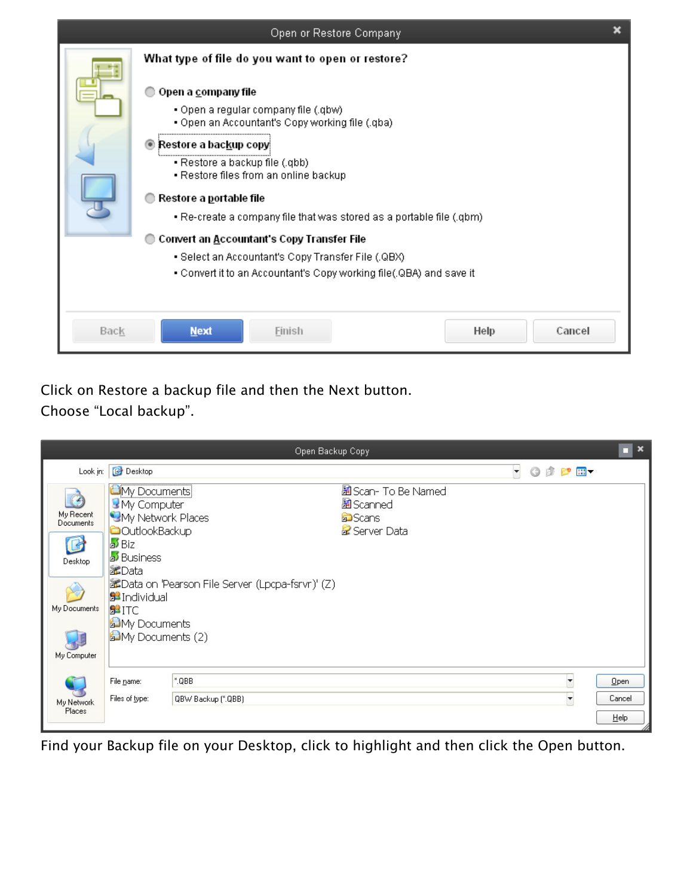|             | Open or Restore Company                                                                                                                                                                                                                                                                                                                                                                                                                                                                                                                                  |  |
|-------------|----------------------------------------------------------------------------------------------------------------------------------------------------------------------------------------------------------------------------------------------------------------------------------------------------------------------------------------------------------------------------------------------------------------------------------------------------------------------------------------------------------------------------------------------------------|--|
|             | What type of file do you want to open or restore?<br>Open a company file<br>• Open a regular company file (.qbw)<br>. Open an Accountant's Copy working file (.qba)<br>◉ Restore a backup copy!<br>• Restore a backup file (.qbb)<br>• Restore files from an online backup<br>Restore a portable file<br>• Re-create a company file that was stored as a portable file (.qbm)<br>Convert an Accountant's Copy Transfer File<br>• Select an Accountant's Copy Transfer File (.QBX)<br>- Convert it to an Accountant's Copy working file(.QBA) and save it |  |
| <b>Back</b> | <b>Next</b><br>Help<br>Cancel<br>Finish                                                                                                                                                                                                                                                                                                                                                                                                                                                                                                                  |  |

Click on Restore a backup file and then the Next button. Choose "Local backup".

|                                        |                                                                                               | Open Backup Copy                                  |                                                                   |  |         | $\blacksquare$    |
|----------------------------------------|-----------------------------------------------------------------------------------------------|---------------------------------------------------|-------------------------------------------------------------------|--|---------|-------------------|
| Look in:                               | <b>B</b> Desktop                                                                              |                                                   |                                                                   |  | · ODPE- |                   |
| $\odot$<br>My Recent<br>Documents<br>B | <b>Ci</b> My Documents<br>My Computer<br>My Network Places<br><b>COutlookBackup</b><br>⊿≸ Biz |                                                   | 圖 Scan- To Be Named<br>圖 Scanned<br><b>o</b> Scans<br>Server Data |  |         |                   |
| Desktop                                | <b>B</b> Business<br>a≰Data                                                                   |                                                   |                                                                   |  |         |                   |
| My Documents                           | <b>B</b> Individual<br><b>B</b> ITC<br><b>品</b> My Documents                                  | a Data on 'Pearson File Server (Lpcpa-fsrvr)' (Z) |                                                                   |  |         |                   |
| My Computer                            | Hall My Documents (2)                                                                         |                                                   |                                                                   |  |         |                   |
|                                        | File name:                                                                                    | ".QBB                                             |                                                                   |  | ▼       | Open              |
| My Network<br>Places                   | Files of type:                                                                                | QBW Backup (*.QBB)                                |                                                                   |  |         | Cancel<br>$He$ lp |

Find your Backup file on your Desktop, click to highlight and then click the Open button.